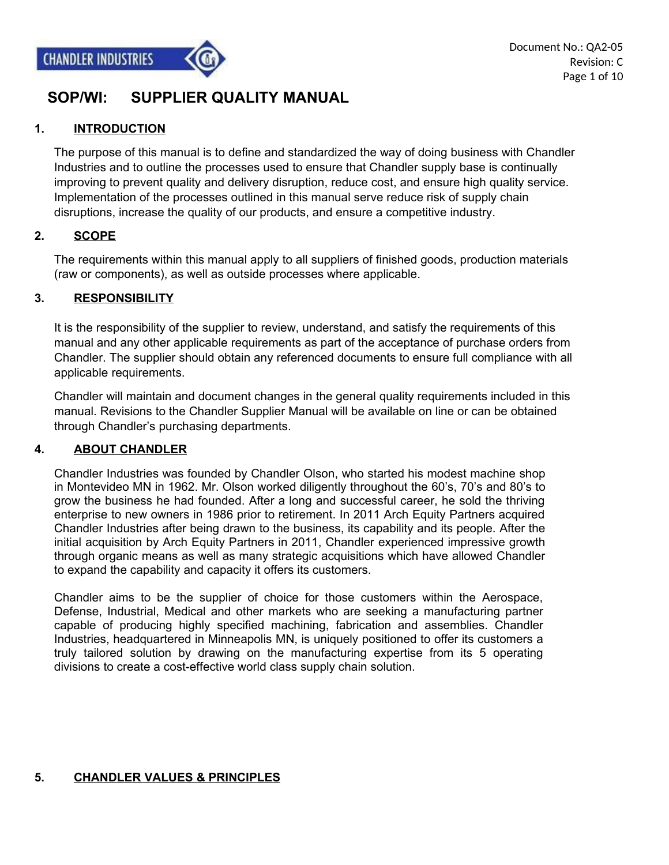

## **SOP/WI: SUPPLIER QUALITY MANUAL**

#### **1. INTRODUCTION**

The purpose of this manual is to define and standardized the way of doing business with Chandler Industries and to outline the processes used to ensure that Chandler supply base is continually improving to prevent quality and delivery disruption, reduce cost, and ensure high quality service. Implementation of the processes outlined in this manual serve reduce risk of supply chain disruptions, increase the quality of our products, and ensure a competitive industry.

#### **2. SCOPE**

The requirements within this manual apply to all suppliers of finished goods, production materials (raw or components), as well as outside processes where applicable.

#### **3. RESPONSIBILITY**

It is the responsibility of the supplier to review, understand, and satisfy the requirements of this manual and any other applicable requirements as part of the acceptance of purchase orders from Chandler. The supplier should obtain any referenced documents to ensure full compliance with all applicable requirements.

Chandler will maintain and document changes in the general quality requirements included in this manual. Revisions to the Chandler Supplier Manual will be available on line or can be obtained through Chandler's purchasing departments.

#### **4. ABOUT CHANDLER**

Chandler Industries was founded by Chandler Olson, who started his modest machine shop in Montevideo MN in 1962. Mr. Olson worked diligently throughout the 60's, 70's and 80's to grow the business he had founded. After a long and successful career, he sold the thriving enterprise to new owners in 1986 prior to retirement. In 2011 Arch Equity Partners acquired Chandler Industries after being drawn to the business, its capability and its people. After the initial acquisition by Arch Equity Partners in 2011, Chandler experienced impressive growth through organic means as well as many strategic acquisitions which have allowed Chandler to expand the capability and capacity it offers its customers.

Chandler aims to be the supplier of choice for those customers within the Aerospace, Defense, Industrial, Medical and other markets who are seeking a manufacturing partner capable of producing highly specified machining, fabrication and assemblies. Chandler Industries, headquartered in Minneapolis MN, is uniquely positioned to offer its customers a truly tailored solution by drawing on the manufacturing expertise from its 5 operating divisions to create a cost-effective world class supply chain solution.

#### **5. CHANDLER VALUES & PRINCIPLES**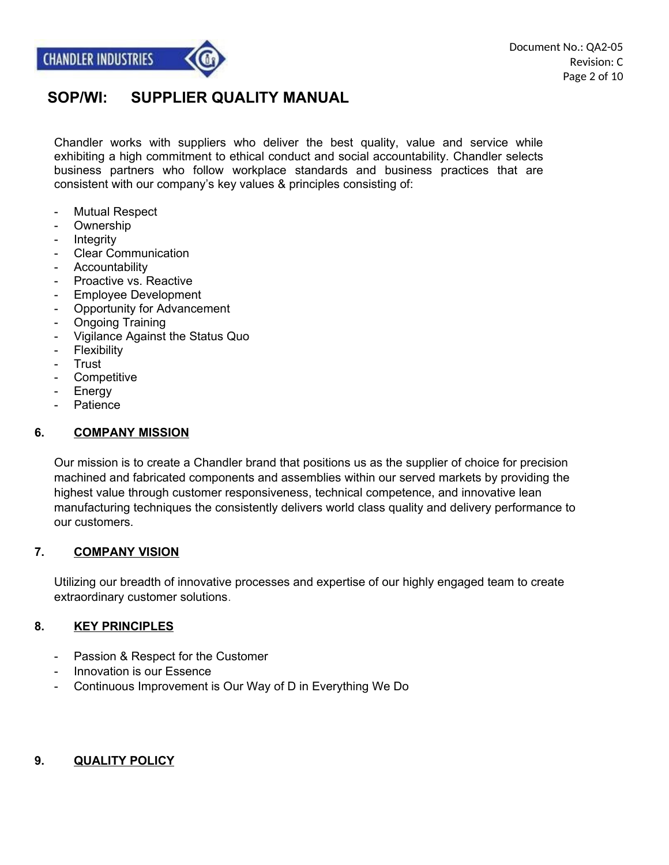

Chandler works with suppliers who deliver the best quality, value and service while exhibiting a high commitment to ethical conduct and social accountability. Chandler selects business partners who follow workplace standards and business practices that are consistent with our company's key values & principles consisting of:

- Mutual Respect
- Ownership
- Integrity
- Clear Communication
- Accountability
- Proactive vs. Reactive
- Employee Development
- Opportunity for Advancement
- Ongoing Training
- Vigilance Against the Status Quo
- Flexibility
- Trust
- **Competitive**
- **Energy**
- Patience

#### **6. COMPANY MISSION**

Our mission is to create a Chandler brand that positions us as the supplier of choice for precision machined and fabricated components and assemblies within our served markets by providing the highest value through customer responsiveness, technical competence, and innovative lean manufacturing techniques the consistently delivers world class quality and delivery performance to our customers.

#### **7. COMPANY VISION**

Utilizing our breadth of innovative processes and expertise of our highly engaged team to create extraordinary customer solutions.

#### **8. KEY PRINCIPLES**

- Passion & Respect for the Customer
- Innovation is our Essence
- Continuous Improvement is Our Way of D in Everything We Do

#### **9. QUALITY POLICY**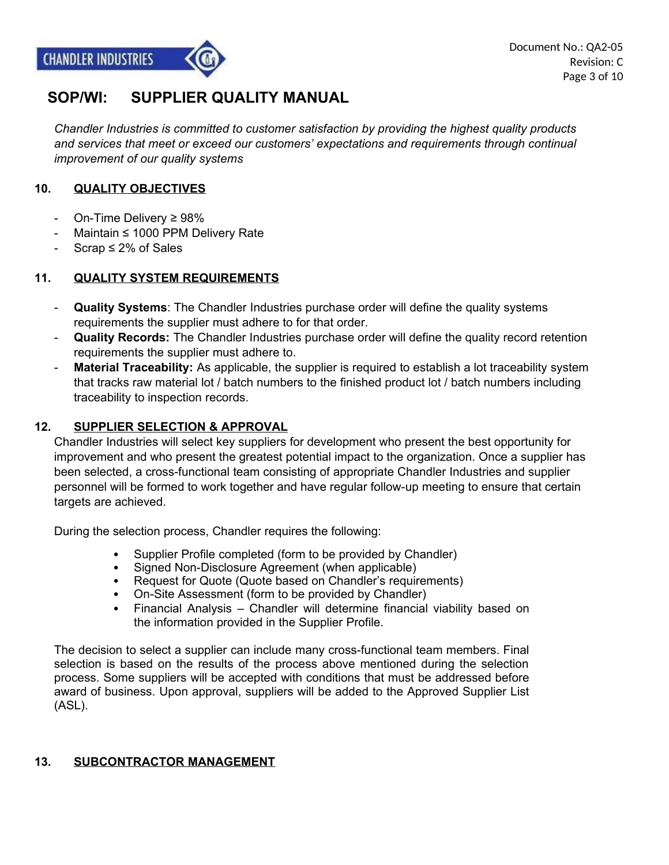## **SOP/WI: SUPPLIER QUALITY MANUAL**

*Chandler Industries is committed to customer satisfaction by providing the highest quality products and services that meet or exceed our customers' expectations and requirements through continual improvement of our quality systems*

#### **10. QUALITY OBJECTIVES**

- On-Time Delivery ≥ 98%
- Maintain ≤ 1000 PPM Delivery Rate
- Scrap  $\leq 2\%$  of Sales

#### **11. QUALITY SYSTEM REQUIREMENTS**

- **Quality Systems**: The Chandler Industries purchase order will define the quality systems requirements the supplier must adhere to for that order.
- **Quality Records:** The Chandler Industries purchase order will define the quality record retention requirements the supplier must adhere to.
- **Material Traceability:** As applicable, the supplier is required to establish a lot traceability system that tracks raw material lot / batch numbers to the finished product lot / batch numbers including traceability to inspection records.

#### **12. SUPPLIER SELECTION & APPROVAL**

Chandler Industries will select key suppliers for development who present the best opportunity for improvement and who present the greatest potential impact to the organization. Once a supplier has been selected, a cross-functional team consisting of appropriate Chandler Industries and supplier personnel will be formed to work together and have regular follow-up meeting to ensure that certain targets are achieved.

During the selection process, Chandler requires the following:

- Supplier Profile completed (form to be provided by Chandler)
- Signed Non-Disclosure Agreement (when applicable)
- Request for Quote (Quote based on Chandler's requirements)
- On-Site Assessment (form to be provided by Chandler)
- Financial Analysis Chandler will determine financial viability based on the information provided in the Supplier Profile.

The decision to select a supplier can include many cross-functional team members. Final selection is based on the results of the process above mentioned during the selection process. Some suppliers will be accepted with conditions that must be addressed before award of business. Upon approval, suppliers will be added to the Approved Supplier List (ASL).

#### **13. SUBCONTRACTOR MANAGEMENT**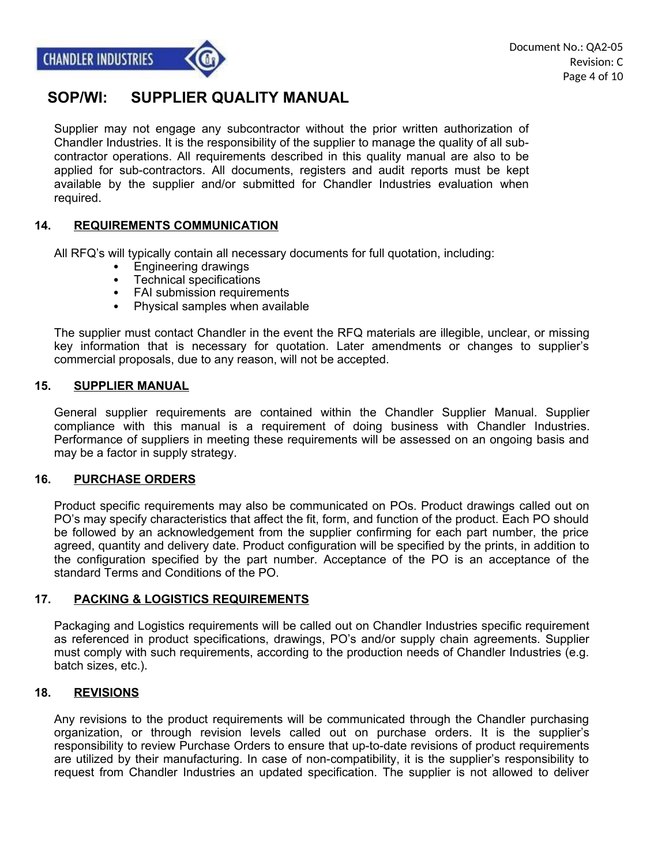## **SOP/WI: SUPPLIER QUALITY MANUAL**

Supplier may not engage any subcontractor without the prior written authorization of Chandler Industries. It is the responsibility of the supplier to manage the quality of all subcontractor operations. All requirements described in this quality manual are also to be applied for sub-contractors. All documents, registers and audit reports must be kept available by the supplier and/or submitted for Chandler Industries evaluation when required.

#### **14. REQUIREMENTS COMMUNICATION**

All RFQ's will typically contain all necessary documents for full quotation, including:

- Engineering drawings
- Technical specifications
- FAI submission requirements
- Physical samples when available

The supplier must contact Chandler in the event the RFQ materials are illegible, unclear, or missing key information that is necessary for quotation. Later amendments or changes to supplier's commercial proposals, due to any reason, will not be accepted.

#### **15. SUPPLIER MANUAL**

General supplier requirements are contained within the Chandler Supplier Manual. Supplier compliance with this manual is a requirement of doing business with Chandler Industries. Performance of suppliers in meeting these requirements will be assessed on an ongoing basis and may be a factor in supply strategy.

#### **16. PURCHASE ORDERS**

Product specific requirements may also be communicated on POs. Product drawings called out on PO's may specify characteristics that affect the fit, form, and function of the product. Each PO should be followed by an acknowledgement from the supplier confirming for each part number, the price agreed, quantity and delivery date. Product configuration will be specified by the prints, in addition to the configuration specified by the part number. Acceptance of the PO is an acceptance of the standard Terms and Conditions of the PO.

#### **17. PACKING & LOGISTICS REQUIREMENTS**

Packaging and Logistics requirements will be called out on Chandler Industries specific requirement as referenced in product specifications, drawings, PO's and/or supply chain agreements. Supplier must comply with such requirements, according to the production needs of Chandler Industries (e.g. batch sizes, etc.).

#### **18. REVISIONS**

Any revisions to the product requirements will be communicated through the Chandler purchasing organization, or through revision levels called out on purchase orders. It is the supplier's responsibility to review Purchase Orders to ensure that up-to-date revisions of product requirements are utilized by their manufacturing. In case of non-compatibility, it is the supplier's responsibility to request from Chandler Industries an updated specification. The supplier is not allowed to deliver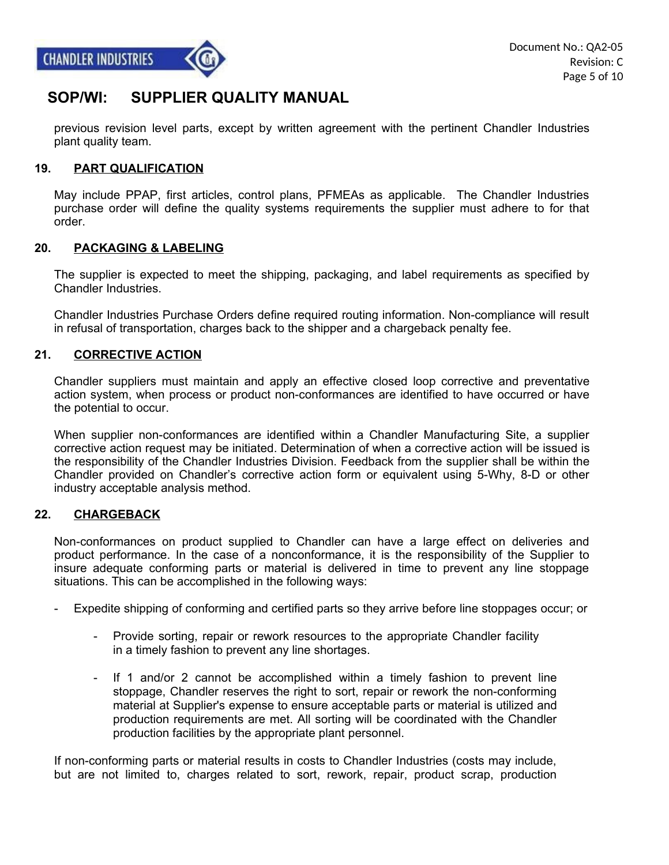## **SOP/WI: SUPPLIER QUALITY MANUAL**

previous revision level parts, except by written agreement with the pertinent Chandler Industries plant quality team.

#### **19. PART QUALIFICATION**

May include PPAP, first articles, control plans, PFMEAs as applicable. The Chandler Industries purchase order will define the quality systems requirements the supplier must adhere to for that order.

#### **20. PACKAGING & LABELING**

The supplier is expected to meet the shipping, packaging, and label requirements as specified by Chandler Industries.

Chandler Industries Purchase Orders define required routing information. Non-compliance will result in refusal of transportation, charges back to the shipper and a chargeback penalty fee.

#### **21. CORRECTIVE ACTION**

Chandler suppliers must maintain and apply an effective closed loop corrective and preventative action system, when process or product non-conformances are identified to have occurred or have the potential to occur.

When supplier non-conformances are identified within a Chandler Manufacturing Site, a supplier corrective action request may be initiated. Determination of when a corrective action will be issued is the responsibility of the Chandler Industries Division. Feedback from the supplier shall be within the Chandler provided on Chandler's corrective action form or equivalent using 5-Why, 8-D or other industry acceptable analysis method.

#### **22. CHARGEBACK**

Non-conformances on product supplied to Chandler can have a large effect on deliveries and product performance. In the case of a nonconformance, it is the responsibility of the Supplier to insure adequate conforming parts or material is delivered in time to prevent any line stoppage situations. This can be accomplished in the following ways:

- Expedite shipping of conforming and certified parts so they arrive before line stoppages occur; or
	- Provide sorting, repair or rework resources to the appropriate Chandler facility in a timely fashion to prevent any line shortages.
	- If 1 and/or 2 cannot be accomplished within a timely fashion to prevent line stoppage, Chandler reserves the right to sort, repair or rework the non-conforming material at Supplier's expense to ensure acceptable parts or material is utilized and production requirements are met. All sorting will be coordinated with the Chandler production facilities by the appropriate plant personnel.

If non-conforming parts or material results in costs to Chandler Industries (costs may include, but are not limited to, charges related to sort, rework, repair, product scrap, production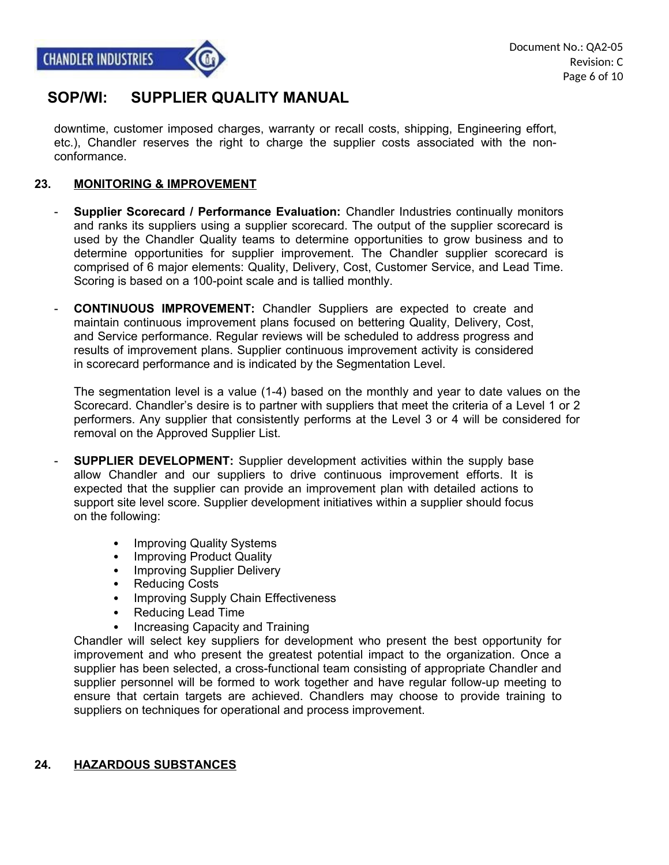

downtime, customer imposed charges, warranty or recall costs, shipping, Engineering effort, etc.), Chandler reserves the right to charge the supplier costs associated with the nonconformance.

#### **23. MONITORING & IMPROVEMENT**

- **Supplier Scorecard / Performance Evaluation:** Chandler Industries continually monitors and ranks its suppliers using a supplier scorecard. The output of the supplier scorecard is used by the Chandler Quality teams to determine opportunities to grow business and to determine opportunities for supplier improvement. The Chandler supplier scorecard is comprised of 6 major elements: Quality, Delivery, Cost, Customer Service, and Lead Time. Scoring is based on a 100-point scale and is tallied monthly.
- **CONTINUOUS IMPROVEMENT:** Chandler Suppliers are expected to create and maintain continuous improvement plans focused on bettering Quality, Delivery, Cost, and Service performance. Regular reviews will be scheduled to address progress and results of improvement plans. Supplier continuous improvement activity is considered in scorecard performance and is indicated by the Segmentation Level.

The segmentation level is a value (1-4) based on the monthly and year to date values on the Scorecard. Chandler's desire is to partner with suppliers that meet the criteria of a Level 1 or 2 performers. Any supplier that consistently performs at the Level 3 or 4 will be considered for removal on the Approved Supplier List.

- **SUPPLIER DEVELOPMENT:** Supplier development activities within the supply base allow Chandler and our suppliers to drive continuous improvement efforts. It is expected that the supplier can provide an improvement plan with detailed actions to support site level score. Supplier development initiatives within a supplier should focus on the following:
	- Improving Quality Systems
	- Improving Product Quality
	- Improving Supplier Delivery
	- Reducing Costs
	- Improving Supply Chain Effectiveness
	- Reducing Lead Time
	- Increasing Capacity and Training

Chandler will select key suppliers for development who present the best opportunity for improvement and who present the greatest potential impact to the organization. Once a supplier has been selected, a cross-functional team consisting of appropriate Chandler and supplier personnel will be formed to work together and have regular follow-up meeting to ensure that certain targets are achieved. Chandlers may choose to provide training to suppliers on techniques for operational and process improvement.

#### **24. HAZARDOUS SUBSTANCES**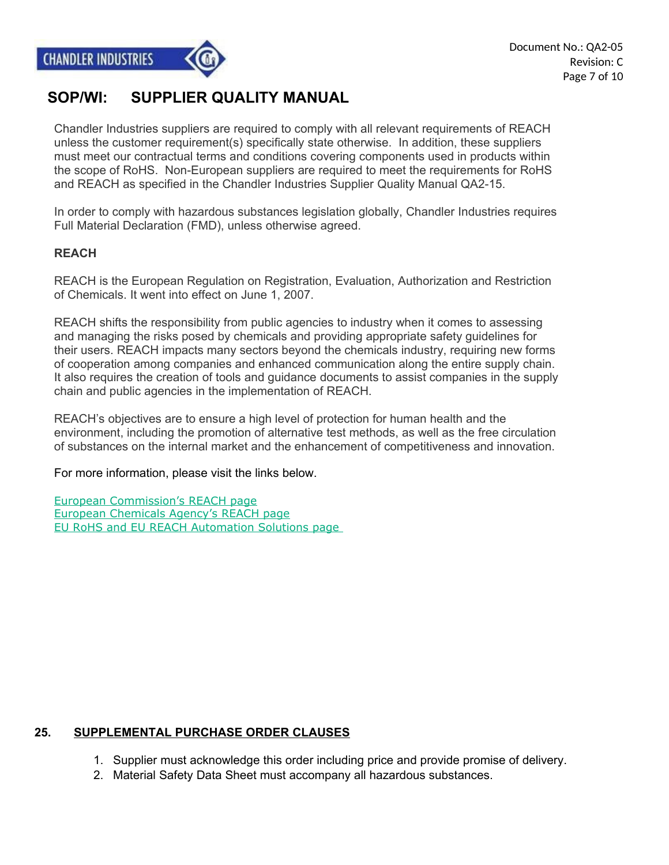

## **SOP/WI: SUPPLIER QUALITY MANUAL**

Chandler Industries suppliers are required to comply with all relevant requirements of REACH unless the customer requirement(s) specifically state otherwise. In addition, these suppliers must meet our contractual terms and conditions covering components used in products within the scope of RoHS. Non-European suppliers are required to meet the requirements for RoHS and REACH as specified in the Chandler Industries Supplier Quality Manual QA2-15.

In order to comply with hazardous substances legislation globally, Chandler Industries requires Full Material Declaration (FMD), unless otherwise agreed.

#### **REACH**

REACH is the European Regulation on Registration, Evaluation, Authorization and Restriction of Chemicals. It went into effect on June 1, 2007.

REACH shifts the responsibility from public agencies to industry when it comes to assessing and managing the risks posed by chemicals and providing appropriate safety guidelines for their users. REACH impacts many sectors beyond the chemicals industry, requiring new forms of cooperation among companies and enhanced communication along the entire supply chain. It also requires the creation of tools and guidance documents to assist companies in the supply chain and public agencies in the implementation of REACH.

REACH's objectives are to ensure a high level of protection for human health and the environment, including the promotion of alternative test methods, as well as the free circulation of substances on the internal market and the enhancement of competitiveness and innovation.

For more information, please visit the links below.

 [European Commission's REACH page](https://ec.europa.eu/growth/sectors/chemicals/reach/) [European Chemicals Agency's REACH page](http://echa.europa.eu/web/guest/regulations/reach/) [EU RoHS and EU REACH Automation Solutions page](http://www3.emersonprocess.com/RoHSSearch/index.aspx)

#### **25. SUPPLEMENTAL PURCHASE ORDER CLAUSES**

- 1. Supplier must acknowledge this order including price and provide promise of delivery.
- 2. Material Safety Data Sheet must accompany all hazardous substances.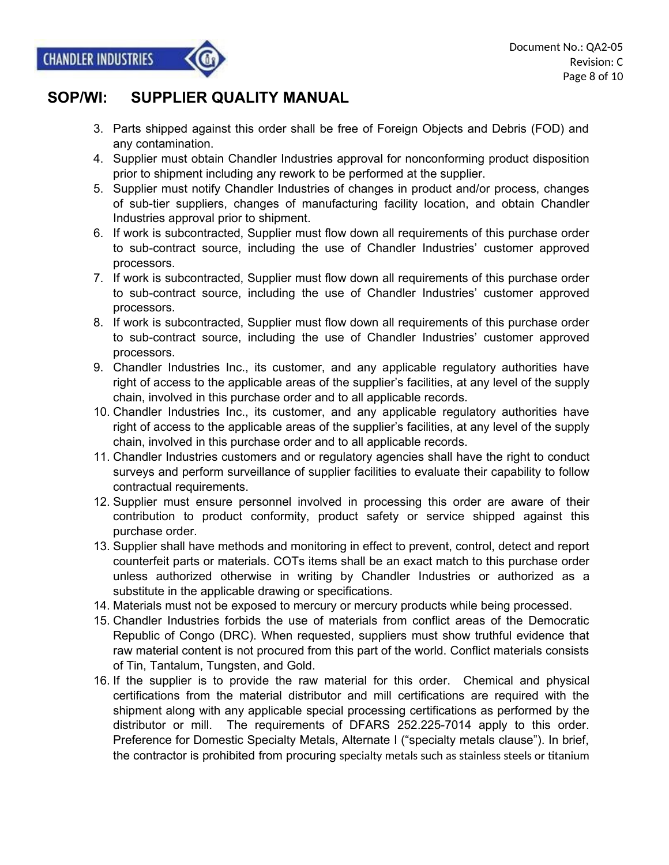## **SOP/WI: SUPPLIER QUALITY MANUAL**

- 3. Parts shipped against this order shall be free of Foreign Objects and Debris (FOD) and any contamination.
- 4. Supplier must obtain Chandler Industries approval for nonconforming product disposition prior to shipment including any rework to be performed at the supplier.
- 5. Supplier must notify Chandler Industries of changes in product and/or process, changes of sub-tier suppliers, changes of manufacturing facility location, and obtain Chandler Industries approval prior to shipment.
- 6. If work is subcontracted, Supplier must flow down all requirements of this purchase order to sub-contract source, including the use of Chandler Industries' customer approved processors.
- 7. If work is subcontracted, Supplier must flow down all requirements of this purchase order to sub-contract source, including the use of Chandler Industries' customer approved processors.
- 8. If work is subcontracted, Supplier must flow down all requirements of this purchase order to sub-contract source, including the use of Chandler Industries' customer approved processors.
- 9. Chandler Industries Inc., its customer, and any applicable regulatory authorities have right of access to the applicable areas of the supplier's facilities, at any level of the supply chain, involved in this purchase order and to all applicable records.
- 10. Chandler Industries Inc., its customer, and any applicable regulatory authorities have right of access to the applicable areas of the supplier's facilities, at any level of the supply chain, involved in this purchase order and to all applicable records.
- 11. Chandler Industries customers and or regulatory agencies shall have the right to conduct surveys and perform surveillance of supplier facilities to evaluate their capability to follow contractual requirements.
- 12. Supplier must ensure personnel involved in processing this order are aware of their contribution to product conformity, product safety or service shipped against this purchase order.
- 13. Supplier shall have methods and monitoring in effect to prevent, control, detect and report counterfeit parts or materials. COTs items shall be an exact match to this purchase order unless authorized otherwise in writing by Chandler Industries or authorized as a substitute in the applicable drawing or specifications.
- 14. Materials must not be exposed to mercury or mercury products while being processed.
- 15. Chandler Industries forbids the use of materials from conflict areas of the Democratic Republic of Congo (DRC). When requested, suppliers must show truthful evidence that raw material content is not procured from this part of the world. Conflict materials consists of Tin, Tantalum, Tungsten, and Gold.
- 16. If the supplier is to provide the raw material for this order. Chemical and physical certifications from the material distributor and mill certifications are required with the shipment along with any applicable special processing certifications as performed by the distributor or mill. The requirements of DFARS 252.225-7014 apply to this order. Preference for Domestic Specialty Metals, Alternate I ("specialty metals clause"). In brief, the contractor is prohibited from procuring specialty metals such as stainless steels or titanium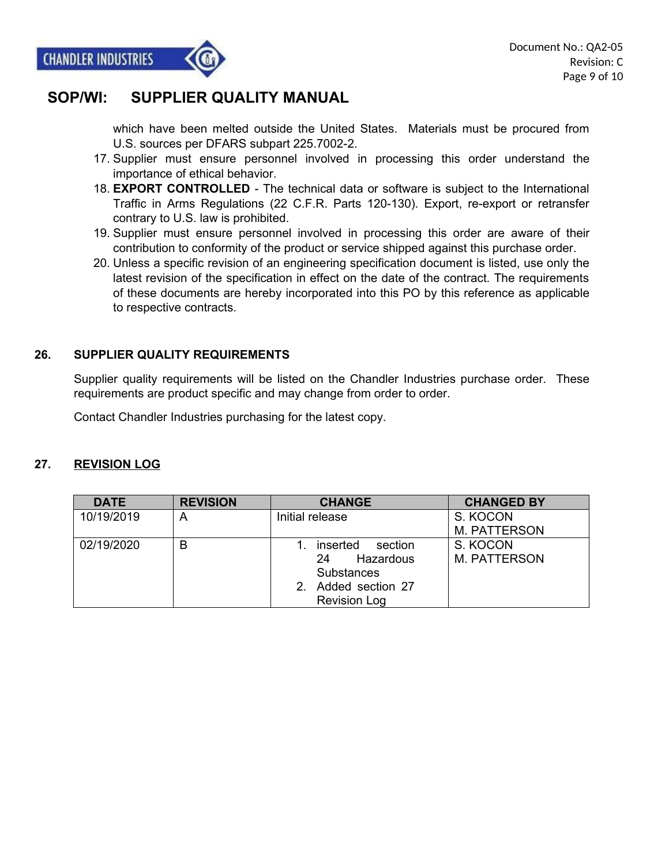

which have been melted outside the United States. Materials must be procured from U.S. sources per DFARS subpart 225.7002-2.

- 17. Supplier must ensure personnel involved in processing this order understand the importance of ethical behavior.
- 18. **EXPORT CONTROLLED** The technical data or software is subject to the International Traffic in Arms Regulations (22 C.F.R. Parts 120-130). Export, re-export or retransfer contrary to U.S. law is prohibited.
- 19. Supplier must ensure personnel involved in processing this order are aware of their contribution to conformity of the product or service shipped against this purchase order.
- 20. Unless a specific revision of an engineering specification document is listed, use only the latest revision of the specification in effect on the date of the contract. The requirements of these documents are hereby incorporated into this PO by this reference as applicable to respective contracts.

#### **26. SUPPLIER QUALITY REQUIREMENTS**

Supplier quality requirements will be listed on the Chandler Industries purchase order. These requirements are product specific and may change from order to order.

Contact Chandler Industries purchasing for the latest copy.

#### **27. REVISION LOG**

| <b>DATE</b> | <b>REVISION</b> | <b>CHANGE</b>       | <b>CHANGED BY</b>   |
|-------------|-----------------|---------------------|---------------------|
| 10/19/2019  | A               | Initial release     | S. KOCON            |
|             |                 |                     | <b>M. PATTERSON</b> |
| 02/19/2020  | B               | inserted<br>section | S. KOCON            |
|             |                 | Hazardous<br>24     | <b>M. PATTERSON</b> |
|             |                 | <b>Substances</b>   |                     |
|             |                 | 2. Added section 27 |                     |
|             |                 | <b>Revision Log</b> |                     |